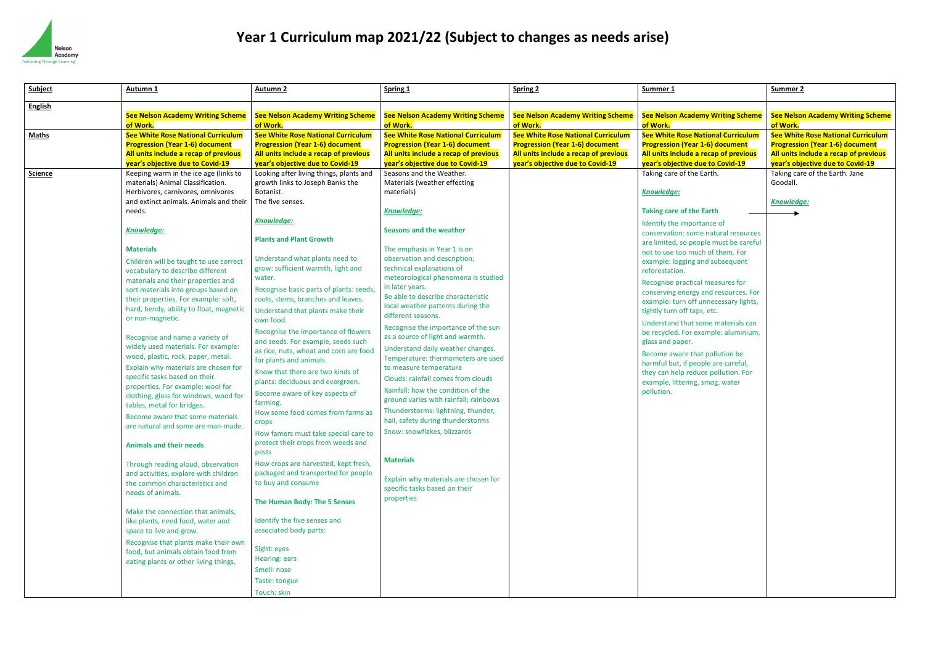

| Subject        | Autumn <sub>1</sub>                                                                                                                                                                                                                                                                                                                                                                                                                                                                                                                   | <b>Autumn 2</b>                                                                                                                                                                                                                                                                                                                                                                                                                                                               | Spring 1                                                                                                                                                                                                                                                                                                                                                                                                                                                                                | <b>Spring 2</b>                                                                                                              | Summer 1                                                                                                                                                                                                                                                                                                                                                                                                                                                                 | Summer <sub>2</sub>                                                  |
|----------------|---------------------------------------------------------------------------------------------------------------------------------------------------------------------------------------------------------------------------------------------------------------------------------------------------------------------------------------------------------------------------------------------------------------------------------------------------------------------------------------------------------------------------------------|-------------------------------------------------------------------------------------------------------------------------------------------------------------------------------------------------------------------------------------------------------------------------------------------------------------------------------------------------------------------------------------------------------------------------------------------------------------------------------|-----------------------------------------------------------------------------------------------------------------------------------------------------------------------------------------------------------------------------------------------------------------------------------------------------------------------------------------------------------------------------------------------------------------------------------------------------------------------------------------|------------------------------------------------------------------------------------------------------------------------------|--------------------------------------------------------------------------------------------------------------------------------------------------------------------------------------------------------------------------------------------------------------------------------------------------------------------------------------------------------------------------------------------------------------------------------------------------------------------------|----------------------------------------------------------------------|
| <b>English</b> |                                                                                                                                                                                                                                                                                                                                                                                                                                                                                                                                       |                                                                                                                                                                                                                                                                                                                                                                                                                                                                               |                                                                                                                                                                                                                                                                                                                                                                                                                                                                                         |                                                                                                                              |                                                                                                                                                                                                                                                                                                                                                                                                                                                                          |                                                                      |
|                | <b>See Nelson Academy Writing Scheme</b><br>of Work.                                                                                                                                                                                                                                                                                                                                                                                                                                                                                  | <b>See Nelson Academy Writing Scheme</b><br>of Work.                                                                                                                                                                                                                                                                                                                                                                                                                          | <b>See Nelson Academy Writing Scheme</b><br>of Work.                                                                                                                                                                                                                                                                                                                                                                                                                                    | <b>See Nelson Academy Writing Scheme</b><br>of Work.                                                                         | <b>See Nelson Academy Writing Scheme</b><br>of Work.                                                                                                                                                                                                                                                                                                                                                                                                                     | <b>See Nelso</b><br>of Work.                                         |
| <b>Maths</b>   | <b>See White Rose National Curriculum</b><br><b>Progression (Year 1-6) document</b><br>All units include a recap of previous                                                                                                                                                                                                                                                                                                                                                                                                          | <b>See White Rose National Curriculum</b><br><b>Progression (Year 1-6) document</b><br>All units include a recap of previous                                                                                                                                                                                                                                                                                                                                                  | <b>See White Rose National Curriculum</b><br><b>Progression (Year 1-6) document</b><br>All units include a recap of previous                                                                                                                                                                                                                                                                                                                                                            | <b>See White Rose National Curriculum</b><br><b>Progression (Year 1-6) document</b><br>All units include a recap of previous | <b>See White Rose National Curriculum</b><br><b>Progression (Year 1-6) document</b><br>All units include a recap of previous                                                                                                                                                                                                                                                                                                                                             | <b>See White</b><br><b>Progressic</b><br>All units ir                |
| <b>Science</b> | year's objective due to Covid-19<br>Keeping warm in the ice age (links to<br>materials) Animal Classification.<br>Herbivores, carnivores, omnivores<br>and extinct animals. Animals and their<br>needs.<br><b>Knowledge:</b><br><b>Materials</b>                                                                                                                                                                                                                                                                                      | year's objective due to Covid-19<br>Looking after living things, plants and<br>growth links to Joseph Banks the<br>Botanist.<br>The five senses.<br>Knowledge:<br><b>Plants and Plant Growth</b>                                                                                                                                                                                                                                                                              | year's objective due to Covid-19<br>Seasons and the Weather.<br>Materials (weather effecting<br>materials)<br><b>Knowledge:</b><br><b>Seasons and the weather</b><br>The emphasis in Year 1 is on                                                                                                                                                                                                                                                                                       | year's objective due to Covid-19                                                                                             | year's objective due to Covid-19<br>Taking care of the Earth.<br>Knowledge:<br><b>Taking care of the Earth</b><br>Identify the importance of<br>conservation: some natural resources<br>are limited, so people must be careful<br>not to use too much of them. For                                                                                                                                                                                                       | <mark>year's obj</mark><br>Taking car<br>Goodall.<br><b>Knowledg</b> |
|                | Children will be taught to use correct<br>vocabulary to describe different<br>materials and their properties and<br>sort materials into groups based on<br>their properties. For example: soft,<br>hard, bendy, ability to float, magnetic<br>or non-magnetic.<br>Recognise and name a variety of<br>widely used materials. For example:<br>wood, plastic, rock, paper, metal.<br>Explain why materials are chosen for<br>specific tasks based on their<br>properties. For example: wool for<br>clothing, glass for windows, wood for | Understand what plants need to<br>grow: sufficient warmth, light and<br>water.<br>Recognise basic parts of plants: seeds,<br>roots, stems, branches and leaves.<br>Understand that plants make their<br>own food.<br>Recognise the importance of flowers<br>and seeds. For example, seeds such<br>as rice, nuts, wheat and corn are food<br>for plants and animals.<br>Know that there are two kinds of<br>plants: deciduous and evergreen.<br>Become aware of key aspects of | observation and description;<br>technical explanations of<br>meteorological phenomena is studied<br>in later years.<br>Be able to describe characteristic<br>local weather patterns during the<br>different seasons.<br>Recognise the importance of the sun<br>as a source of light and warmth.<br>Understand daily weather changes.<br>Temperature: thermometers are used<br>to measure temperature<br><b>Clouds: rainfall comes from clouds</b><br>Rainfall: how the condition of the |                                                                                                                              | example: logging and subsequent<br>reforestation.<br>Recognise practical measures for<br>conserving energy and resources. For<br>example: turn off unnecessary lights,<br>tightly turn off taps, etc.<br>Understand that some materials can<br>be recycled. For example: aluminium,<br>glass and paper.<br>Become aware that pollution be<br>harmful but, if people are careful,<br>they can help reduce pollution. For<br>example, littering, smog, water<br>pollution. |                                                                      |
|                | tables, metal for bridges.<br>Become aware that some materials<br>are natural and some are man-made.<br><b>Animals and their needs</b>                                                                                                                                                                                                                                                                                                                                                                                                | farming.<br>How some food comes from farms as<br>crops<br>How famers must take special care to<br>protect their crops from weeds and<br>pests                                                                                                                                                                                                                                                                                                                                 | ground varies with rainfall; rainbows<br>Thunderstorms: lightning, thunder,<br>hail, safety during thunderstorms<br>Snow: snowflakes, blizzards                                                                                                                                                                                                                                                                                                                                         |                                                                                                                              |                                                                                                                                                                                                                                                                                                                                                                                                                                                                          |                                                                      |
|                | Through reading aloud, observation<br>and activities, explore with children<br>the common characteristics and<br>needs of animals.<br>Make the connection that animals,<br>like plants, need food, water and<br>space to live and grow.<br>Recognise that plants make their own<br>food, but animals obtain food from<br>eating plants or other living things.                                                                                                                                                                        | How crops are harvested, kept fresh,<br>packaged and transported for people<br>to buy and consume<br>The Human Body: The 5 Senses<br>Identify the five senses and<br>associated body parts:<br>Sight: eyes<br>Hearing: ears<br>Smell: nose<br>Taste: tongue<br>Touch: skin                                                                                                                                                                                                    | <b>Materials</b><br>Explain why materials are chosen for<br>specific tasks based on their<br>properties                                                                                                                                                                                                                                                                                                                                                                                 |                                                                                                                              |                                                                                                                                                                                                                                                                                                                                                                                                                                                                          |                                                                      |

| <b>See Nelson Academy Writing Scheme</b><br><b>See White Rose National Curriculum</b><br><b>Progression (Year 1-6) document</b><br>All units include a recap of previous<br>year's objective due to Covid-19<br>Taking care of the Earth. Jane |
|------------------------------------------------------------------------------------------------------------------------------------------------------------------------------------------------------------------------------------------------|
|                                                                                                                                                                                                                                                |
|                                                                                                                                                                                                                                                |
|                                                                                                                                                                                                                                                |
|                                                                                                                                                                                                                                                |
|                                                                                                                                                                                                                                                |
|                                                                                                                                                                                                                                                |
|                                                                                                                                                                                                                                                |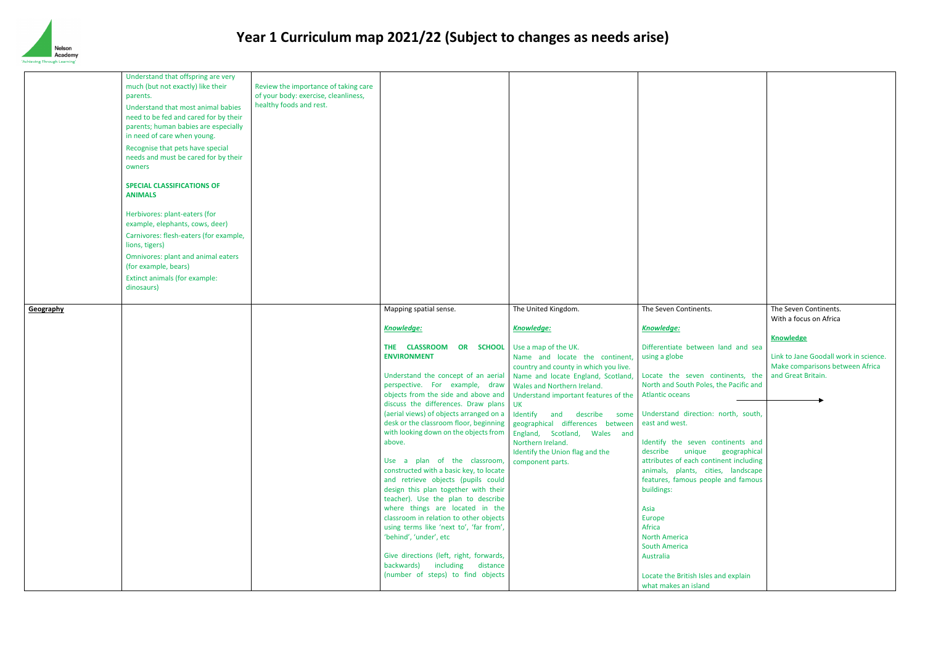

|           | Understand that offspring are very<br>much (but not exactly) like their<br>parents.<br>Understand that most animal babies<br>need to be fed and cared for by their<br>parents; human babies are especially<br>in need of care when young.<br>Recognise that pets have special<br>needs and must be cared for by their<br>owners<br><b>SPECIAL CLASSIFICATIONS OF</b><br><b>ANIMALS</b><br>Herbivores: plant-eaters (for<br>example, elephants, cows, deer)<br>Carnivores: flesh-eaters (for example,<br>lions, tigers)<br><b>Omnivores: plant and animal eaters</b><br>(for example, bears)<br>Extinct animals (for example:<br>dinosaurs) | Review the importance of taking care<br>of your body: exercise, cleanliness,<br>healthy foods and rest. |                                                                                                                                                                                                                                                                                                                                                                                                                                                                                                                                                                                                                                                                                                                                                                           |                                                                                                                                                                                                                                                                                                                                                                                                                                            |                                                                                                                                                                                                                                                                                                                                                                                                                                                                                                                                                               |
|-----------|--------------------------------------------------------------------------------------------------------------------------------------------------------------------------------------------------------------------------------------------------------------------------------------------------------------------------------------------------------------------------------------------------------------------------------------------------------------------------------------------------------------------------------------------------------------------------------------------------------------------------------------------|---------------------------------------------------------------------------------------------------------|---------------------------------------------------------------------------------------------------------------------------------------------------------------------------------------------------------------------------------------------------------------------------------------------------------------------------------------------------------------------------------------------------------------------------------------------------------------------------------------------------------------------------------------------------------------------------------------------------------------------------------------------------------------------------------------------------------------------------------------------------------------------------|--------------------------------------------------------------------------------------------------------------------------------------------------------------------------------------------------------------------------------------------------------------------------------------------------------------------------------------------------------------------------------------------------------------------------------------------|---------------------------------------------------------------------------------------------------------------------------------------------------------------------------------------------------------------------------------------------------------------------------------------------------------------------------------------------------------------------------------------------------------------------------------------------------------------------------------------------------------------------------------------------------------------|
| Geography |                                                                                                                                                                                                                                                                                                                                                                                                                                                                                                                                                                                                                                            |                                                                                                         | Mapping spatial sense.                                                                                                                                                                                                                                                                                                                                                                                                                                                                                                                                                                                                                                                                                                                                                    | The United Kingdom.                                                                                                                                                                                                                                                                                                                                                                                                                        | The Seven Continents.                                                                                                                                                                                                                                                                                                                                                                                                                                                                                                                                         |
|           |                                                                                                                                                                                                                                                                                                                                                                                                                                                                                                                                                                                                                                            |                                                                                                         | <b>Knowledge:</b>                                                                                                                                                                                                                                                                                                                                                                                                                                                                                                                                                                                                                                                                                                                                                         | Knowledge:                                                                                                                                                                                                                                                                                                                                                                                                                                 | <b>Knowledge:</b>                                                                                                                                                                                                                                                                                                                                                                                                                                                                                                                                             |
|           |                                                                                                                                                                                                                                                                                                                                                                                                                                                                                                                                                                                                                                            |                                                                                                         | THE CLASSROOM<br>OR SCHOOL<br><b>ENVIRONMENT</b><br>Understand the concept of an aerial<br>perspective. For example, draw<br>objects from the side and above and<br>discuss the differences. Draw plans<br>desk or the classroom floor, beginning<br>with looking down on the objects from<br>above.<br>Use a plan of the classroom,<br>constructed with a basic key, to locate<br>and retrieve objects (pupils could<br>design this plan together with their<br>teacher). Use the plan to describe<br>where things are located in the<br>classroom in relation to other objects<br>using terms like 'next to', 'far from',<br>'behind', 'under', etc<br>Give directions (left, right, forwards,<br>backwards) including<br>distance<br>(number of steps) to find objects | Use a map of the UK.<br>Name and locate the continent,<br>country and county in which you live.<br>Name and locate England, Scotland,<br>Wales and Northern Ireland.<br>Understand important features of the<br>UK<br>(aerial views) of objects arranged on a   Identify and describe some<br>geographical differences between<br>England, Scotland, Wales and<br>Northern Ireland.<br>Identify the Union flag and the<br>component parts. | Differentiate between land and<br>using a globe<br>Locate the seven continents,<br>North and South Poles, the Pacific<br><b>Atlantic oceans</b><br>Understand direction: north, sou<br>east and west.<br>Identify the seven continents<br>describe<br>unique<br>geograph<br>attributes of each continent includ<br>animals, plants, cities, landsca<br>features, famous people and fam<br>buildings:<br>Asia<br>Europe<br>Africa<br><b>North America</b><br><b>South America</b><br>Australia<br>Locate the British Isles and explain<br>what makes an island |

| The Seven Continents.                                                                                                                                                                                       | The Seven Continents.<br>With a focus on Africa                                                                    |
|-------------------------------------------------------------------------------------------------------------------------------------------------------------------------------------------------------------|--------------------------------------------------------------------------------------------------------------------|
| Knowledge:<br>Differentiate between land and sea<br>using a globe<br>Locate the seven continents, the<br>North and South Poles, the Pacific and                                                             | <b>Knowledge</b><br>Link to Jane Goodall work in science.<br>Make comparisons between Africa<br>and Great Britain. |
| <b>Atlantic oceans</b><br>Understand direction: north, south,<br>east and west.                                                                                                                             |                                                                                                                    |
| Identify the seven continents and<br>describe<br>unique<br>geographical<br>attributes of each continent including<br>animals, plants, cities, landscape<br>features, famous people and famous<br>buildings: |                                                                                                                    |
| Asia<br><b>Europe</b><br><b>Africa</b><br><b>North America</b><br><b>South America</b><br><b>Australia</b><br>Locate the British Isles and explain                                                          |                                                                                                                    |
| what makes an island                                                                                                                                                                                        |                                                                                                                    |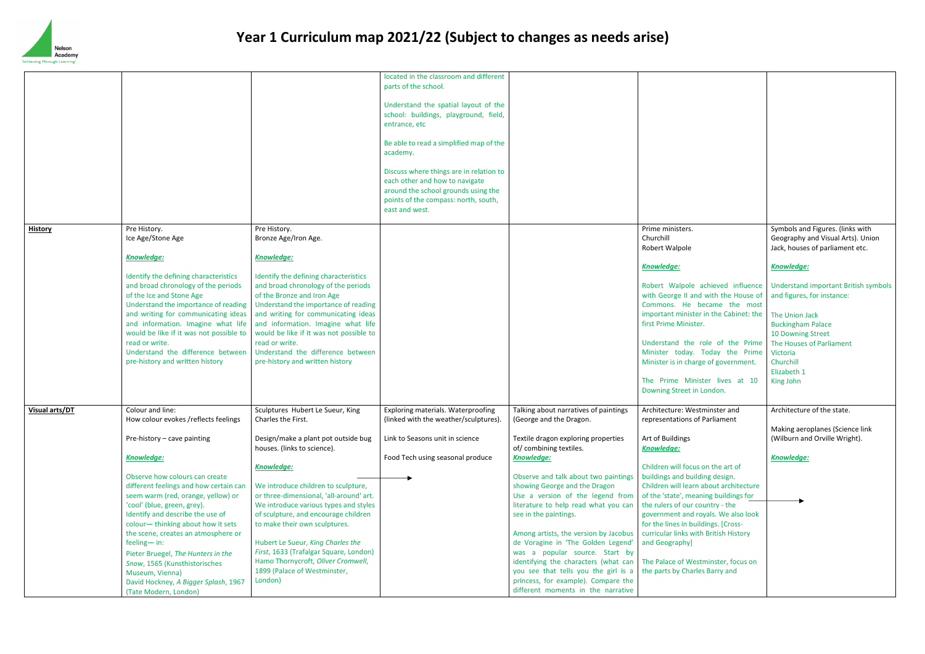

|                |                                                  |                                                                             | located in the classroom and different                                      |                                                                      |                                                                |
|----------------|--------------------------------------------------|-----------------------------------------------------------------------------|-----------------------------------------------------------------------------|----------------------------------------------------------------------|----------------------------------------------------------------|
|                |                                                  |                                                                             | parts of the school.                                                        |                                                                      |                                                                |
|                |                                                  |                                                                             |                                                                             |                                                                      |                                                                |
|                |                                                  |                                                                             | Understand the spatial layout of the                                        |                                                                      |                                                                |
|                |                                                  |                                                                             | school: buildings, playground, field,<br>entrance, etc                      |                                                                      |                                                                |
|                |                                                  |                                                                             |                                                                             |                                                                      |                                                                |
|                |                                                  |                                                                             | Be able to read a simplified map of the                                     |                                                                      |                                                                |
|                |                                                  |                                                                             | academy.                                                                    |                                                                      |                                                                |
|                |                                                  |                                                                             |                                                                             |                                                                      |                                                                |
|                |                                                  |                                                                             | Discuss where things are in relation to                                     |                                                                      |                                                                |
|                |                                                  |                                                                             | each other and how to navigate                                              |                                                                      |                                                                |
|                |                                                  |                                                                             | around the school grounds using the                                         |                                                                      |                                                                |
|                |                                                  |                                                                             | points of the compass: north, south,                                        |                                                                      |                                                                |
|                |                                                  |                                                                             | east and west.                                                              |                                                                      |                                                                |
|                |                                                  |                                                                             |                                                                             |                                                                      |                                                                |
| <b>History</b> | Pre History.                                     | Pre History.                                                                |                                                                             |                                                                      | Prime ministers.                                               |
|                | Ice Age/Stone Age                                | Bronze Age/Iron Age.                                                        |                                                                             |                                                                      | Churchill                                                      |
|                |                                                  |                                                                             |                                                                             |                                                                      | Robert Walpole                                                 |
|                | <b>Knowledge:</b>                                | <b>Knowledge:</b>                                                           |                                                                             |                                                                      | <b>Knowledge:</b>                                              |
|                | Identify the defining characteristics            | Identify the defining characteristics                                       |                                                                             |                                                                      |                                                                |
|                | and broad chronology of the periods              | and broad chronology of the periods                                         |                                                                             |                                                                      | Robert Walpole achieved influen                                |
|                | of the Ice and Stone Age                         | of the Bronze and Iron Age                                                  |                                                                             |                                                                      | with George II and with the House                              |
|                | Understand the importance of reading             | Understand the importance of reading                                        |                                                                             |                                                                      | Commons. He became the mo                                      |
|                | and writing for communicating ideas              | and writing for communicating ideas                                         |                                                                             |                                                                      | important minister in the Cabinet: t                           |
|                | and information. Imagine what life               | and information. Imagine what life                                          |                                                                             |                                                                      | first Prime Minister.                                          |
|                | would be like if it was not possible to          | would be like if it was not possible to                                     |                                                                             |                                                                      |                                                                |
|                | read or write.                                   | read or write.                                                              |                                                                             |                                                                      | Understand the role of the Prin                                |
|                | Understand the difference between                | Understand the difference between                                           |                                                                             |                                                                      | Minister today. Today the Prin                                 |
|                | pre-history and written history                  | pre-history and written history                                             |                                                                             |                                                                      | Minister is in charge of government.                           |
|                |                                                  |                                                                             |                                                                             |                                                                      |                                                                |
|                |                                                  |                                                                             |                                                                             |                                                                      | The Prime Minister lives at 10                                 |
|                |                                                  |                                                                             |                                                                             |                                                                      | Downing Street in London.                                      |
|                | Colour and line:                                 |                                                                             |                                                                             |                                                                      |                                                                |
| Visual arts/DT | How colour evokes /reflects feelings             | Sculptures Hubert Le Sueur, King<br>Charles the First.                      | Exploring materials. Waterproofing<br>(linked with the weather/sculptures). | Talking about narratives of paintings<br>(George and the Dragon.     | Architecture: Westminster and<br>representations of Parliament |
|                |                                                  |                                                                             |                                                                             |                                                                      |                                                                |
|                | Pre-history - cave painting                      | Design/make a plant pot outside bug                                         | Link to Seasons unit in science                                             | Textile dragon exploring properties                                  | Art of Buildings                                               |
|                |                                                  | houses. (links to science).                                                 |                                                                             | of/combining textiles.                                               | <b>Knowledge:</b>                                              |
|                | <b>Knowledge:</b>                                |                                                                             | Food Tech using seasonal produce                                            | <b>Knowledge:</b>                                                    |                                                                |
|                |                                                  | <b>Knowledge:</b>                                                           |                                                                             |                                                                      | Children will focus on the art of                              |
|                | Observe how colours can create                   |                                                                             |                                                                             | Observe and talk about two paintings                                 | buildings and building design.                                 |
|                | different feelings and how certain can           | We introduce children to sculpture,                                         |                                                                             | showing George and the Dragon                                        | Children will learn about architectur                          |
|                | seem warm (red, orange, yellow) or               | or three-dimensional, 'all-around' art.                                     |                                                                             | Use a version of the legend from                                     | of the 'state', meaning buildings for                          |
|                | 'cool' (blue, green, grey).                      | We introduce various types and styles                                       |                                                                             | literature to help read what you can                                 | the rulers of our country - the                                |
|                | Identify and describe the use of                 | of sculpture, and encourage children                                        |                                                                             | see in the paintings.                                                | government and royals. We also loo                             |
|                | colour-thinking about how it sets                | to make their own sculptures.                                               |                                                                             |                                                                      | for the lines in buildings. [Cross-                            |
|                | the scene, creates an atmosphere or              |                                                                             |                                                                             | Among artists, the version by Jacobus                                | curricular links with British History                          |
|                | $feeling - in:$                                  | Hubert Le Sueur, King Charles the<br>First, 1633 (Trafalgar Square, London) |                                                                             | de Voragine in 'The Golden Legend'<br>was a popular source. Start by | and Geography]                                                 |
|                | Pieter Bruegel, The Hunters in the               | Hamo Thornycroft, Oliver Cromwell,                                          |                                                                             | identifying the characters (what can                                 | The Palace of Westminster, focus or                            |
|                | Snow, 1565 (Kunsthistorisches<br>Museum, Vienna) | 1899 (Palace of Westminster,                                                |                                                                             | you see that tells you the girl is a                                 | the parts by Charles Barry and                                 |
|                | David Hockney, A Bigger Splash, 1967             | London)                                                                     |                                                                             | princess, for example). Compare the                                  |                                                                |
|                | (Tate Modern, London)                            |                                                                             |                                                                             | different moments in the narrative                                   |                                                                |
|                |                                                  |                                                                             |                                                                             |                                                                      |                                                                |

| Prime ministers.<br>Churchill<br>Robert Walpole                                                                                                                                                                                                                                                                                                                                                              | Symbols and Figures. (links with<br>Geography and Visual Arts). Union<br>Jack, houses of parliament etc.                                                                                                                                    |
|--------------------------------------------------------------------------------------------------------------------------------------------------------------------------------------------------------------------------------------------------------------------------------------------------------------------------------------------------------------------------------------------------------------|---------------------------------------------------------------------------------------------------------------------------------------------------------------------------------------------------------------------------------------------|
| Knowledge:                                                                                                                                                                                                                                                                                                                                                                                                   | <b>Knowledge:</b>                                                                                                                                                                                                                           |
| Robert Walpole achieved influence<br>with George II and with the House of<br>Commons. He became the<br>most<br>important minister in the Cabinet: the<br>first Prime Minister.<br>Understand the role of the Prime<br>Minister today. Today the Prime<br>Minister is in charge of government.<br>The Prime Minister lives at<br>10<br>Downing Street in London.                                              | <b>Understand important British symbols</b><br>and figures, for instance:<br>The Union Jack<br><b>Buckingham Palace</b><br>10 Downing Street<br>The Houses of Parliament<br><b>Victoria</b><br>Churchill<br>Elizabeth 1<br><b>King John</b> |
| Architecture: Westminster and                                                                                                                                                                                                                                                                                                                                                                                | Architecture of the state.                                                                                                                                                                                                                  |
| representations of Parliament<br>Art of Buildings<br><u>Knowledge:</u><br>Children will focus on the art of<br>buildings and building design.<br>Children will learn about architecture<br>of the 'state', meaning buildings for<br>the rulers of our country - the<br>government and royals. We also look<br>for the lines in buildings. [Cross-<br>curricular links with British History<br>and Geography] | Making aeroplanes (Science link<br>(Wilburn and Orville Wright).<br><b>Knowledge:</b>                                                                                                                                                       |
| The Palace of Westminster, focus on<br>the parts by Charles Barry and                                                                                                                                                                                                                                                                                                                                        |                                                                                                                                                                                                                                             |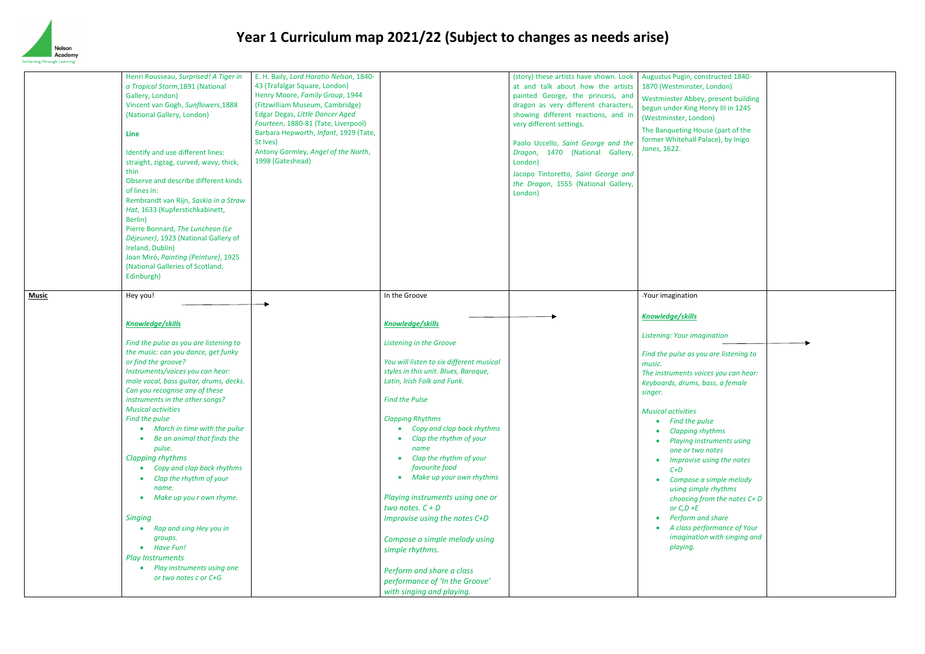

| <b>Music</b> | Henri Rousseau, Surprised! A Tiger in<br>a Tropical Storm, 1891 (National<br>Gallery, London)<br>Vincent van Gogh, Sunflowers, 1888<br>(National Gallery, London)<br>Line<br>Identify and use different lines:<br>straight, zigzag, curved, wavy, thick,<br>thin<br>Observe and describe different kinds<br>of lines in:<br>Rembrandt van Rijn, Saskia in a Straw<br>Hat, 1633 (Kupferstichkabinett,<br>Berlin)<br>Pierre Bonnard, The Luncheon (Le<br>Déjeuner), 1923 (National Gallery of<br>Ireland, Dublin)<br>Joan Miró, Painting (Peinture), 1925<br>(National Galleries of Scotland,<br>Edinburgh)<br>Hey you!<br><b>Knowledge/skills</b><br>Find the pulse as you are listening to<br>the music: can you dance, get funky<br>or find the groove?<br>Instruments/voices you can hear:<br>male vocal, bass guitar, drums, decks.<br>Can you recognise any of these<br>instruments in the other songs?<br><b>Musical activities</b><br>Find the pulse<br>March in time with the pulse<br>Be an animal that finds the<br>pulse.<br><b>Clapping rhythms</b><br>Copy and clap back rhythms<br>Clap the rhythm of your<br>name.<br>Make up you r own rhyme. | E. H. Baily, Lord Horatio Nelson, 1840-<br>43 (Trafalgar Square, London)<br>Henry Moore, Family Group, 1944<br>(Fitzwilliam Museum, Cambridge)<br>Edgar Degas, Little Dancer Aged<br>Fourteen, 1880-81 (Tate, Liverpool)<br>Barbara Hepworth, Infant, 1929 (Tate,<br>St Ives)<br>Antony Gormley, Angel of the North,<br>1998 (Gateshead) | In the Groove<br><b>Knowledge/skills</b><br>Listening in the Groove<br>You will listen to six different musical<br>styles in this unit. Blues, Baroque,<br>Latin, Irish Folk and Funk.<br><b>Find the Pulse</b><br><b>Clapping Rhythms</b><br>Copy and clap back rhythms<br>Clap the rhythm of your<br>name<br>Clap the rhythm of your<br>favourite food<br>Make up your own rhythms<br>Playing instruments using one or<br>two notes. $C + D$ | (story) these artists have shown. Look<br>at and talk about how the artists<br>painted George, the princess, and<br>dragon as very different characters,<br>showing different reactions, and in<br>very different settings.<br>Paolo Uccello, Saint George and the<br>Dragon, 1470 (National Gallery,<br>London)<br>Jacopo Tintoretto, Saint George and<br>the Dragon, 1555 (National Gallery,<br>London) | Augustus Pugin, constructed 1840-<br>1870 (Westminster, London)<br>Westminster Abbey, present buildi<br>begun under King Henry III in 1245<br>(Westminster, London)<br>The Banqueting House (part of the<br>former Whitehall Palace), by Inigo<br>Jones, 1622.<br>-Your imagination<br><b>Knowledge/skills</b><br>Listening: Your imagination<br>Find the pulse as you are listening t<br>music.<br>The instruments voices you can hed<br>Keyboards, drums, bass, a female<br>singer.<br><b>Musical activities</b><br>Find the pulse<br><b>Clapping rhythms</b><br>Playing instruments using<br>one or two notes<br>Improvise using the notes<br>$C+D$<br>using simple rhythms<br>or $C, D + E$ |
|--------------|--------------------------------------------------------------------------------------------------------------------------------------------------------------------------------------------------------------------------------------------------------------------------------------------------------------------------------------------------------------------------------------------------------------------------------------------------------------------------------------------------------------------------------------------------------------------------------------------------------------------------------------------------------------------------------------------------------------------------------------------------------------------------------------------------------------------------------------------------------------------------------------------------------------------------------------------------------------------------------------------------------------------------------------------------------------------------------------------------------------------------------------------------------------|------------------------------------------------------------------------------------------------------------------------------------------------------------------------------------------------------------------------------------------------------------------------------------------------------------------------------------------|------------------------------------------------------------------------------------------------------------------------------------------------------------------------------------------------------------------------------------------------------------------------------------------------------------------------------------------------------------------------------------------------------------------------------------------------|-----------------------------------------------------------------------------------------------------------------------------------------------------------------------------------------------------------------------------------------------------------------------------------------------------------------------------------------------------------------------------------------------------------|-------------------------------------------------------------------------------------------------------------------------------------------------------------------------------------------------------------------------------------------------------------------------------------------------------------------------------------------------------------------------------------------------------------------------------------------------------------------------------------------------------------------------------------------------------------------------------------------------------------------------------------------------------------------------------------------------|
|              | Singing<br>Rap and sing Hey you in<br>groups.<br>Have Fun!<br>$\bullet$<br><b>Play Instruments</b><br>Play instruments using one<br>or two notes c or C+G                                                                                                                                                                                                                                                                                                                                                                                                                                                                                                                                                                                                                                                                                                                                                                                                                                                                                                                                                                                                    |                                                                                                                                                                                                                                                                                                                                          | Improvise using the notes C+D<br>Compose a simple melody using<br>simple rhythms.<br>Perform and share a class<br>performance of 'In the Groove'<br>with singing and playing.                                                                                                                                                                                                                                                                  |                                                                                                                                                                                                                                                                                                                                                                                                           | Compose a simple melody<br>choosing from the notes C<br>Perform and share<br>A class performance of You<br>imagination with singing a<br>playing.                                                                                                                                                                                                                                                                                                                                                                                                                                                                                                                                               |

| Augustus Pugin, constructed 1840-<br>1870 (Westminster, London)                                    |  |
|----------------------------------------------------------------------------------------------------|--|
| Westminster Abbey, present building<br>begun under King Henry III in 1245<br>(Westminster, London) |  |
| The Banqueting House (part of the<br>former Whitehall Palace), by Inigo<br>Jones, 1622.            |  |
| -Your imagination                                                                                  |  |
| Knowledge/skills                                                                                   |  |
| Listening: Your imagination                                                                        |  |
| Find the pulse as you are listening to<br>music.                                                   |  |
| The instruments voices you can hear:<br>Keyboards, drums, bass, a female<br>singer.                |  |
| <b>Musical activities</b>                                                                          |  |
| • Find the pulse<br><b>Clapping rhythms</b>                                                        |  |
| Playing instruments using<br>one or two notes                                                      |  |
| Improvise using the notes<br>$C+D$                                                                 |  |
| Compose a simple melody                                                                            |  |
| using simple rhythms<br>choosing from the notes C+D                                                |  |
| or $C, D + E$<br>Perform and share                                                                 |  |
| A class performance of Your<br>imagination with singing and<br>playing.                            |  |
|                                                                                                    |  |
|                                                                                                    |  |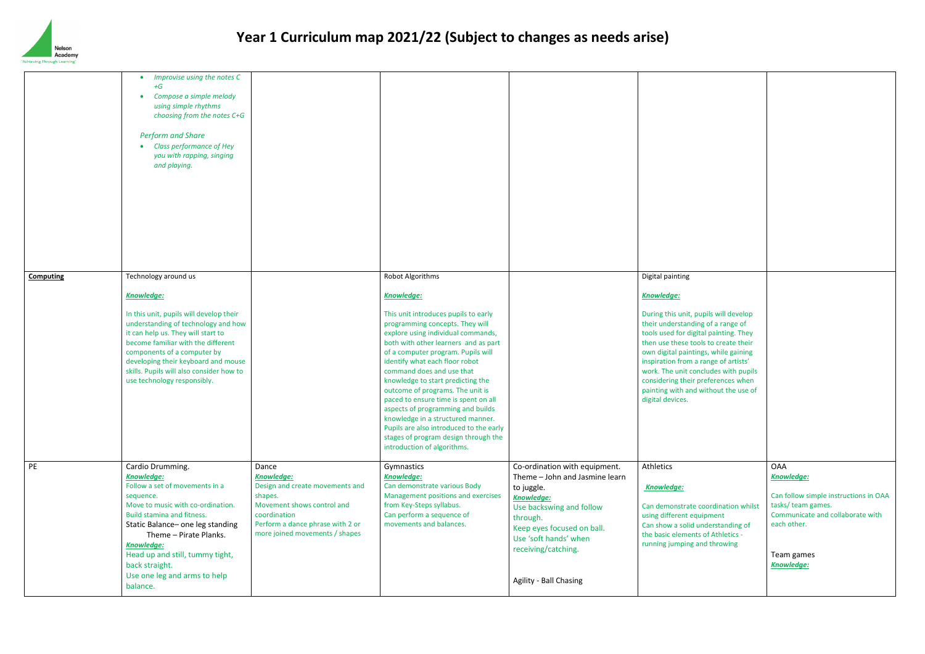

|                  | Improvise using the notes C<br>+G<br>Compose a simple melody<br>using simple rhythms<br>choosing from the notes C+G<br><b>Perform and Share</b><br>Class performance of Hey<br>you with rapping, singing<br>and playing.                                                                                                                                 |                                                                                                                                                                                              |                                                                                                                                                                                                                                                                                                                                                                                                                                                                                                                                                                                                                  |                                                                                                                                                                                                                                             |                                                                                                                                                                                                                                                                                                                                                                                                                               |
|------------------|----------------------------------------------------------------------------------------------------------------------------------------------------------------------------------------------------------------------------------------------------------------------------------------------------------------------------------------------------------|----------------------------------------------------------------------------------------------------------------------------------------------------------------------------------------------|------------------------------------------------------------------------------------------------------------------------------------------------------------------------------------------------------------------------------------------------------------------------------------------------------------------------------------------------------------------------------------------------------------------------------------------------------------------------------------------------------------------------------------------------------------------------------------------------------------------|---------------------------------------------------------------------------------------------------------------------------------------------------------------------------------------------------------------------------------------------|-------------------------------------------------------------------------------------------------------------------------------------------------------------------------------------------------------------------------------------------------------------------------------------------------------------------------------------------------------------------------------------------------------------------------------|
| <b>Computing</b> | Technology around us<br><b>Knowledge:</b><br>In this unit, pupils will develop their<br>understanding of technology and how<br>it can help us. They will start to<br>become familiar with the different<br>components of a computer by<br>developing their keyboard and mouse<br>skills. Pupils will also consider how to<br>use technology responsibly. |                                                                                                                                                                                              | Robot Algorithms<br><b>Knowledge:</b><br>This unit introduces pupils to early<br>programming concepts. They will<br>explore using individual commands,<br>both with other learners and as part<br>of a computer program. Pupils will<br>identify what each floor robot<br>command does and use that<br>knowledge to start predicting the<br>outcome of programs. The unit is<br>paced to ensure time is spent on all<br>aspects of programming and builds<br>knowledge in a structured manner.<br>Pupils are also introduced to the early<br>stages of program design through the<br>introduction of algorithms. |                                                                                                                                                                                                                                             | Digital painting<br><b>Knowledge:</b><br>During this unit, pupils will develop<br>their understanding of a range of<br>tools used for digital painting. They<br>then use these tools to create their<br>own digital paintings, while gaining<br>inspiration from a range of artists'<br>work. The unit concludes with pupil:<br>considering their preferences when<br>painting with and without the use o<br>digital devices. |
| PE               | Cardio Drumming.<br><b>Knowledge:</b><br>Follow a set of movements in a<br>sequence.<br>Move to music with co-ordination.<br>Build stamina and fitness.<br>Static Balance- one leg standing<br>Theme - Pirate Planks.<br><b>Knowledge:</b><br>Head up and still, tummy tight,<br>back straight.<br>Use one leg and arms to help<br>balance.              | Dance<br><b>Knowledge:</b><br>Design and create movements and<br>shapes.<br>Movement shows control and<br>coordination<br>Perform a dance phrase with 2 or<br>more joined movements / shapes | Gymnastics<br><b>Knowledge:</b><br>Can demonstrate various Body<br>Management positions and exercises<br>from Key-Steps syllabus.<br>Can perform a sequence of<br>movements and balances.                                                                                                                                                                                                                                                                                                                                                                                                                        | Co-ordination with equipment.<br>Theme - John and Jasmine learn<br>to juggle.<br>Knowledge:<br>Use backswing and follow<br>through.<br>Keep eyes focused on ball.<br>Use 'soft hands' when<br>receiving/catching.<br>Agility - Ball Chasing | Athletics<br>Knowledge:<br>Can demonstrate coordination whils<br>using different equipment<br>Can show a solid understanding of<br>the basic elements of Athletics -<br>running jumping and throwing                                                                                                                                                                                                                          |

| Digital painting<br>Knowledge:<br>During this unit, pupils will develop<br>their understanding of a range of<br>tools used for digital painting. They<br>then use these tools to create their<br>own digital paintings, while gaining<br>inspiration from a range of artists'<br>work. The unit concludes with pupils<br>considering their preferences when<br>painting with and without the use of<br>digital devices. |                                                                                                                                                                        |
|-------------------------------------------------------------------------------------------------------------------------------------------------------------------------------------------------------------------------------------------------------------------------------------------------------------------------------------------------------------------------------------------------------------------------|------------------------------------------------------------------------------------------------------------------------------------------------------------------------|
| <b>Athletics</b><br>Knowledge:<br>Can demonstrate coordination whilst<br>using different equipment<br>Can show a solid understanding of<br>the basic elements of Athletics -<br>running jumping and throwing                                                                                                                                                                                                            | <b>OAA</b><br>Knowledge:<br>Can follow simple instructions in OAA<br>tasks/ team games.<br>Communicate and collaborate with<br>each other.<br>Team games<br>Knowledge: |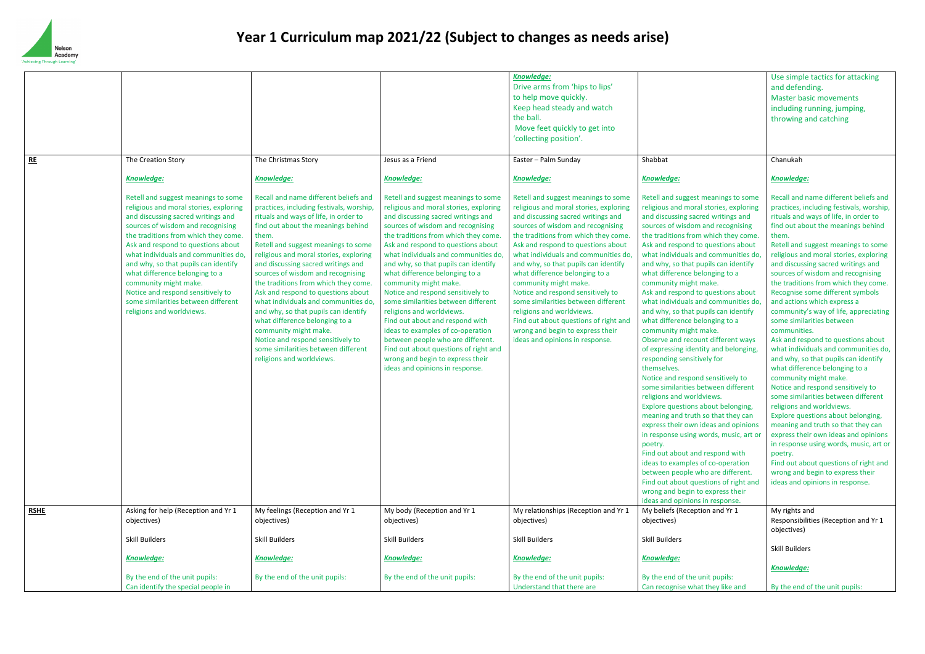

|             |                                                                                                                                                                                                                                                                                                                                                                                                                                                                                            |                                                                                                                                                                                                                                                                                                                                                                                                                                                                                                                                                                                                                                                                         |                                                                                                                                                                                                                                                                                                                                                                                                                                                                                                                                                                                                                                                                                                                         | Knowledge:<br>Drive arms from 'hips to lips'<br>to help move quickly.<br>Keep head steady and watch<br>the ball.<br>Move feet quickly to get into<br>'collecting position'.                                                                                                                                                                                                                                                                                                                                                                                                                                |                                                                                                                                                                                                                                                                                                                                                                                                                                                                                                                                                                                                                                                                                                                                                                                                                                                                                                                                                                                                                                                                                                                                                                                                         |
|-------------|--------------------------------------------------------------------------------------------------------------------------------------------------------------------------------------------------------------------------------------------------------------------------------------------------------------------------------------------------------------------------------------------------------------------------------------------------------------------------------------------|-------------------------------------------------------------------------------------------------------------------------------------------------------------------------------------------------------------------------------------------------------------------------------------------------------------------------------------------------------------------------------------------------------------------------------------------------------------------------------------------------------------------------------------------------------------------------------------------------------------------------------------------------------------------------|-------------------------------------------------------------------------------------------------------------------------------------------------------------------------------------------------------------------------------------------------------------------------------------------------------------------------------------------------------------------------------------------------------------------------------------------------------------------------------------------------------------------------------------------------------------------------------------------------------------------------------------------------------------------------------------------------------------------------|------------------------------------------------------------------------------------------------------------------------------------------------------------------------------------------------------------------------------------------------------------------------------------------------------------------------------------------------------------------------------------------------------------------------------------------------------------------------------------------------------------------------------------------------------------------------------------------------------------|---------------------------------------------------------------------------------------------------------------------------------------------------------------------------------------------------------------------------------------------------------------------------------------------------------------------------------------------------------------------------------------------------------------------------------------------------------------------------------------------------------------------------------------------------------------------------------------------------------------------------------------------------------------------------------------------------------------------------------------------------------------------------------------------------------------------------------------------------------------------------------------------------------------------------------------------------------------------------------------------------------------------------------------------------------------------------------------------------------------------------------------------------------------------------------------------------------|
| RE          | The Creation Story                                                                                                                                                                                                                                                                                                                                                                                                                                                                         | The Christmas Story                                                                                                                                                                                                                                                                                                                                                                                                                                                                                                                                                                                                                                                     | Jesus as a Friend                                                                                                                                                                                                                                                                                                                                                                                                                                                                                                                                                                                                                                                                                                       | Easter - Palm Sunday                                                                                                                                                                                                                                                                                                                                                                                                                                                                                                                                                                                       | Shabbat                                                                                                                                                                                                                                                                                                                                                                                                                                                                                                                                                                                                                                                                                                                                                                                                                                                                                                                                                                                                                                                                                                                                                                                                 |
|             | <b>Knowledge:</b>                                                                                                                                                                                                                                                                                                                                                                                                                                                                          | <b>Knowledge:</b>                                                                                                                                                                                                                                                                                                                                                                                                                                                                                                                                                                                                                                                       | <b>Knowledge:</b>                                                                                                                                                                                                                                                                                                                                                                                                                                                                                                                                                                                                                                                                                                       | <b>Knowledge:</b>                                                                                                                                                                                                                                                                                                                                                                                                                                                                                                                                                                                          | <b>Knowledge:</b>                                                                                                                                                                                                                                                                                                                                                                                                                                                                                                                                                                                                                                                                                                                                                                                                                                                                                                                                                                                                                                                                                                                                                                                       |
|             | Retell and suggest meanings to some<br>religious and moral stories, exploring<br>and discussing sacred writings and<br>sources of wisdom and recognising<br>the traditions from which they come.<br>Ask and respond to questions about<br>what individuals and communities do,<br>and why, so that pupils can identify<br>what difference belonging to a<br>community might make.<br>Notice and respond sensitively to<br>some similarities between different<br>religions and worldviews. | Recall and name different beliefs and<br>practices, including festivals, worship,<br>rituals and ways of life, in order to<br>find out about the meanings behind<br>them.<br>Retell and suggest meanings to some<br>religious and moral stories, exploring<br>and discussing sacred writings and<br>sources of wisdom and recognising<br>the traditions from which they come.<br>Ask and respond to questions about<br>what individuals and communities do,<br>and why, so that pupils can identify<br>what difference belonging to a<br>community might make.<br>Notice and respond sensitively to<br>some similarities between different<br>religions and worldviews. | Retell and suggest meanings to some<br>religious and moral stories, exploring<br>and discussing sacred writings and<br>sources of wisdom and recognising<br>the traditions from which they come.<br>Ask and respond to questions about<br>what individuals and communities do.<br>and why, so that pupils can identify<br>what difference belonging to a<br>community might make.<br>Notice and respond sensitively to<br>some similarities between different<br>religions and worldviews.<br>Find out about and respond with<br>ideas to examples of co-operation<br>between people who are different.<br>Find out about questions of right and<br>wrong and begin to express their<br>ideas and opinions in response. | Retell and suggest meanings to some<br>religious and moral stories, exploring<br>and discussing sacred writings and<br>sources of wisdom and recognising<br>the traditions from which they come.<br>Ask and respond to questions about<br>what individuals and communities do.<br>and why, so that pupils can identify<br>what difference belonging to a<br>community might make.<br>Notice and respond sensitively to<br>some similarities between different<br>religions and worldviews.<br>Find out about questions of right and<br>wrong and begin to express their<br>ideas and opinions in response. | Retell and suggest meanings to some<br>religious and moral stories, exploring<br>and discussing sacred writings and<br>sources of wisdom and recognising<br>the traditions from which they come<br>Ask and respond to questions about<br>what individuals and communities do<br>and why, so that pupils can identify<br>what difference belonging to a<br>community might make.<br>Ask and respond to questions about<br>what individuals and communities d<br>and why, so that pupils can identify<br>what difference belonging to a<br>community might make.<br>Observe and recount different ways<br>of expressing identity and belonging<br>responding sensitively for<br>themselves.<br>Notice and respond sensitively to<br>some similarities between different<br>religions and worldviews.<br>Explore questions about belonging,<br>meaning and truth so that they can<br>express their own ideas and opinion:<br>in response using words, music, art o<br>poetry.<br>Find out about and respond with<br>ideas to examples of co-operation<br>between people who are different.<br>Find out about questions of right and<br>wrong and begin to express their<br>ideas and opinions in response. |
| <b>RSHE</b> | Asking for help (Reception and Yr 1                                                                                                                                                                                                                                                                                                                                                                                                                                                        | My feelings (Reception and Yr 1                                                                                                                                                                                                                                                                                                                                                                                                                                                                                                                                                                                                                                         | My body (Reception and Yr 1                                                                                                                                                                                                                                                                                                                                                                                                                                                                                                                                                                                                                                                                                             | My relationships (Reception and Yr 1                                                                                                                                                                                                                                                                                                                                                                                                                                                                                                                                                                       | My beliefs (Reception and Yr 1                                                                                                                                                                                                                                                                                                                                                                                                                                                                                                                                                                                                                                                                                                                                                                                                                                                                                                                                                                                                                                                                                                                                                                          |
|             | objectives)<br><b>Skill Builders</b>                                                                                                                                                                                                                                                                                                                                                                                                                                                       | objectives)<br><b>Skill Builders</b>                                                                                                                                                                                                                                                                                                                                                                                                                                                                                                                                                                                                                                    | objectives)<br><b>Skill Builders</b>                                                                                                                                                                                                                                                                                                                                                                                                                                                                                                                                                                                                                                                                                    | objectives)<br><b>Skill Builders</b>                                                                                                                                                                                                                                                                                                                                                                                                                                                                                                                                                                       | objectives)<br>Skill Builders                                                                                                                                                                                                                                                                                                                                                                                                                                                                                                                                                                                                                                                                                                                                                                                                                                                                                                                                                                                                                                                                                                                                                                           |
|             | <b>Knowledge:</b>                                                                                                                                                                                                                                                                                                                                                                                                                                                                          | <b>Knowledge:</b>                                                                                                                                                                                                                                                                                                                                                                                                                                                                                                                                                                                                                                                       | <b>Knowledge:</b>                                                                                                                                                                                                                                                                                                                                                                                                                                                                                                                                                                                                                                                                                                       | <b>Knowledge:</b>                                                                                                                                                                                                                                                                                                                                                                                                                                                                                                                                                                                          | <b>Knowledge:</b>                                                                                                                                                                                                                                                                                                                                                                                                                                                                                                                                                                                                                                                                                                                                                                                                                                                                                                                                                                                                                                                                                                                                                                                       |
|             | By the end of the unit pupils:<br>Can identify the special people in                                                                                                                                                                                                                                                                                                                                                                                                                       | By the end of the unit pupils:                                                                                                                                                                                                                                                                                                                                                                                                                                                                                                                                                                                                                                          | By the end of the unit pupils:                                                                                                                                                                                                                                                                                                                                                                                                                                                                                                                                                                                                                                                                                          | By the end of the unit pupils:<br>Understand that there are                                                                                                                                                                                                                                                                                                                                                                                                                                                                                                                                                | By the end of the unit pupils:<br>Can recognise what they like and                                                                                                                                                                                                                                                                                                                                                                                                                                                                                                                                                                                                                                                                                                                                                                                                                                                                                                                                                                                                                                                                                                                                      |

|                                        | Use simple tactics for attacking         |
|----------------------------------------|------------------------------------------|
|                                        | and defending.                           |
|                                        | <b>Master basic movements</b>            |
|                                        | including running, jumping,              |
|                                        | throwing and catching                    |
|                                        |                                          |
|                                        |                                          |
|                                        |                                          |
| Shabbat                                | Chanukah                                 |
|                                        |                                          |
| Knowledge:                             | <b>Knowledge:</b>                        |
| Retell and suggest meanings to some    | Recall and name different beliefs and    |
| religious and moral stories, exploring | practices, including festivals, worship, |
| and discussing sacred writings and     | rituals and ways of life, in order to    |
| sources of wisdom and recognising      | find out about the meanings behind       |
| the traditions from which they come.   | them.                                    |
| Ask and respond to questions about     | Retell and suggest meanings to some      |
| what individuals and communities do,   | religious and moral stories, exploring   |
| and why, so that pupils can identify   | and discussing sacred writings and       |
| what difference belonging to a         | sources of wisdom and recognising        |
| community might make.                  | the traditions from which they come.     |
| Ask and respond to questions about     | Recognise some different symbols         |
| what individuals and communities do,   | and actions which express a              |
| and why, so that pupils can identify   | community's way of life, appreciating    |
| what difference belonging to a         | some similarities between                |
| community might make.                  | communities.                             |
| Observe and recount different ways     | Ask and respond to questions about       |
| of expressing identity and belonging,  | what individuals and communities do,     |
| responding sensitively for             | and why, so that pupils can identify     |
| themselves.                            | what difference belonging to a           |
| Notice and respond sensitively to      | community might make.                    |
| some similarities between different    | Notice and respond sensitively to        |
| religions and worldviews.              | some similarities between different      |
| Explore questions about belonging,     | religions and worldviews.                |
| meaning and truth so that they can     | Explore questions about belonging,       |
| express their own ideas and opinions   | meaning and truth so that they can       |
| in response using words, music, art or | express their own ideas and opinions     |
| poetry.                                | in response using words, music, art or   |
| Find out about and respond with        | poetry.                                  |
| ideas to examples of co-operation      | Find out about questions of right and    |
| between people who are different.      | wrong and begin to express their         |
| Find out about questions of right and  | ideas and opinions in response.          |
| wrong and begin to express their       |                                          |
| ideas and opinions in response.        |                                          |
| My beliefs (Reception and Yr 1         | My rights and                            |
| objectives)                            | Responsibilities (Reception and Yr 1     |
|                                        | objectives)                              |
| Skill Builders                         |                                          |
|                                        | <b>Skill Builders</b>                    |
| <u>Knowledge:</u>                      |                                          |
|                                        | <b>Knowledge:</b>                        |
| By the end of the unit pupils:         |                                          |
| Can recognise what they like and       | By the end of the unit pupils:           |
|                                        |                                          |